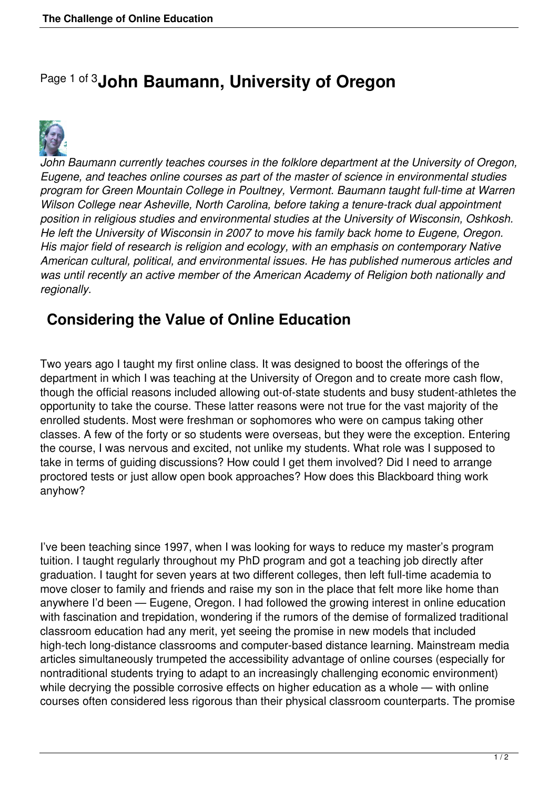## Page 1 of 3**John Baumann, University of Oregon**



*John Baumann currently teaches courses in the folklore department at the University of Oregon, Eugene, and teaches online courses as part of the master of science in environmental studies program for Green Mountain College in Poultney, Vermont. Baumann taught full-time at Warren Wilson College near Asheville, North Carolina, before taking a tenure-track dual appointment position in religious studies and environmental studies at the University of Wisconsin, Oshkosh. He left the University of Wisconsin in 2007 to move his family back home to Eugene, Oregon. His major field of research is religion and ecology, with an emphasis on contemporary Native American cultural, political, and environmental issues. He has published numerous articles and was until recently an active member of the American Academy of Religion both nationally and regionally.*

## **Considering the Value of Online Education**

Two years ago I taught my first online class. It was designed to boost the offerings of the department in which I was teaching at the University of Oregon and to create more cash flow, though the official reasons included allowing out-of-state students and busy student-athletes the opportunity to take the course. These latter reasons were not true for the vast majority of the enrolled students. Most were freshman or sophomores who were on campus taking other classes. A few of the forty or so students were overseas, but they were the exception. Entering the course, I was nervous and excited, not unlike my students. What role was I supposed to take in terms of guiding discussions? How could I get them involved? Did I need to arrange proctored tests or just allow open book approaches? How does this Blackboard thing work anyhow?

I've been teaching since 1997, when I was looking for ways to reduce my master's program tuition. I taught regularly throughout my PhD program and got a teaching job directly after graduation. I taught for seven years at two different colleges, then left full-time academia to move closer to family and friends and raise my son in the place that felt more like home than anywhere I'd been — Eugene, Oregon. I had followed the growing interest in online education with fascination and trepidation, wondering if the rumors of the demise of formalized traditional classroom education had any merit, yet seeing the promise in new models that included high-tech long-distance classrooms and computer-based distance learning. Mainstream media articles simultaneously trumpeted the accessibility advantage of online courses (especially for nontraditional students trying to adapt to an increasingly challenging economic environment) while decrying the possible corrosive effects on higher education as a whole — with online courses often considered less rigorous than their physical classroom counterparts. The promise